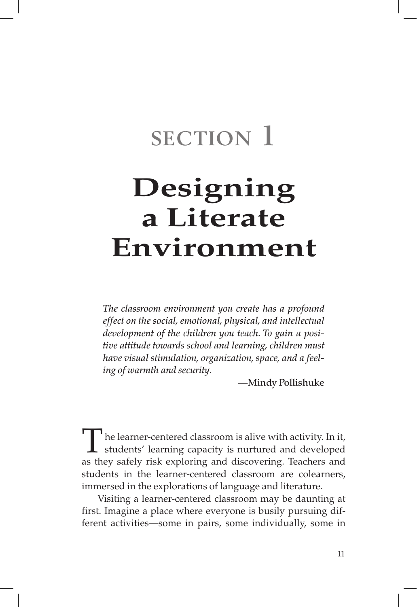## **section 1**

# **Designing a Literate Environment**

*The classroom environment you create has a profound effect on the social, emotional, physical, and intellectual development of the children you teach. To gain a positive attitude towards school and learning, children must have visual stimulation, organization, space, and a feeling of warmth and security.* 

—Mindy Pollishuke

 $\mathsf{T}_{\text{he learner-centered classroom}}$  is alive with activity. In it, students' learning capacity is nurtured and developed as they safely risk exploring and discovering. Teachers and students in the learner-centered classroom are colearners, immersed in the explorations of language and literature.

Visiting a learner-centered classroom may be daunting at first. Imagine a place where everyone is busily pursuing different activities—some in pairs, some individually, some in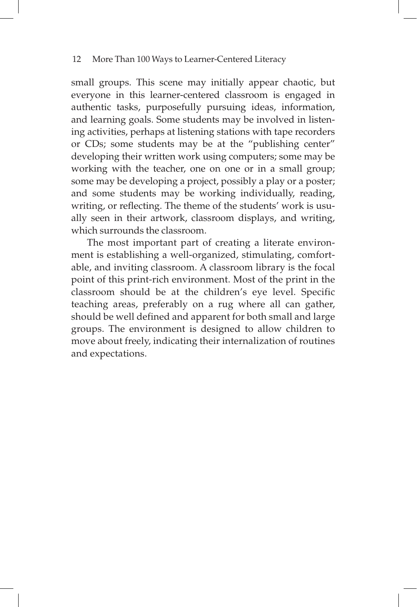small groups. This scene may initially appear chaotic, but everyone in this learner-centered classroom is engaged in authentic tasks, purposefully pursuing ideas, information, and learning goals. Some students may be involved in listening activities, perhaps at listening stations with tape recorders or CDs; some students may be at the "publishing center" developing their written work using computers; some may be working with the teacher, one on one or in a small group; some may be developing a project, possibly a play or a poster; and some students may be working individually, reading, writing, or reflecting. The theme of the students' work is usually seen in their artwork, classroom displays, and writing, which surrounds the classroom.

The most important part of creating a literate environment is establishing a well-organized, stimulating, comfortable, and inviting classroom. A classroom library is the focal point of this print-rich environment. Most of the print in the classroom should be at the children's eye level. Specific teaching areas, preferably on a rug where all can gather, should be well defined and apparent for both small and large groups. The environment is designed to allow children to move about freely, indicating their internalization of routines and expectations.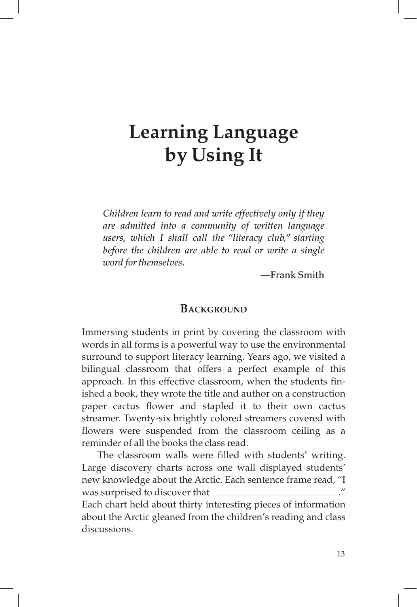## **Learning Language by Using It**

*Children learn to read and write effectively only if they are admitted into a community of written language users, which I shall call the "literacy club," starting before the children are able to read or write a single word for themselves.* 

—Frank Smith

#### **BACKGROUND**

Immersing students in print by covering the classroom with words in all forms is a powerful way to use the environmental surround to support literacy learning. Years ago, we visited a bilingual classroom that offers a perfect example of this approach. In this effective classroom, when the students finished a book, they wrote the title and author on a construction paper cactus flower and stapled it to their own cactus streamer. Twenty-six brightly colored streamers covered with flowers were suspended from the classroom ceiling as a reminder of all the books the class read.

The classroom walls were filled with students' writing. Large discovery charts across one wall displayed students' new knowledge about the Arctic. Each sentence frame read, "I was surprised to discover that  $\overline{\phantom{a}}$ Each chart held about thirty interesting pieces of information about the Arctic gleaned from the children's reading and class discussions.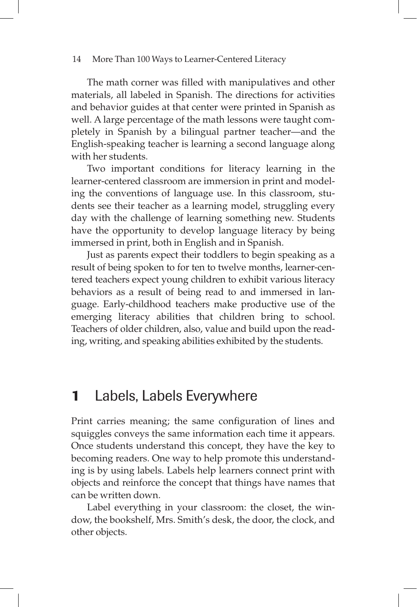The math corner was filled with manipulatives and other materials, all labeled in Spanish. The directions for activities and behavior guides at that center were printed in Spanish as well. A large percentage of the math lessons were taught completely in Spanish by a bilingual partner teacher—and the English-speaking teacher is learning a second language along with her students.

Two important conditions for literacy learning in the learner-centered classroom are immersion in print and modeling the conventions of language use. In this classroom, students see their teacher as a learning model, struggling every day with the challenge of learning something new. Students have the opportunity to develop language literacy by being immersed in print, both in English and in Spanish.

Just as parents expect their toddlers to begin speaking as a result of being spoken to for ten to twelve months, learner-centered teachers expect young children to exhibit various literacy behaviors as a result of being read to and immersed in language. Early-childhood teachers make productive use of the emerging literacy abilities that children bring to school. Teachers of older children, also, value and build upon the reading, writing, and speaking abilities exhibited by the students.

## 1 Labels, Labels Everywhere

Print carries meaning; the same configuration of lines and squiggles conveys the same information each time it appears. Once students understand this concept, they have the key to becoming readers. One way to help promote this understanding is by using labels. Labels help learners connect print with objects and reinforce the concept that things have names that can be written down.

Label everything in your classroom: the closet, the window, the bookshelf, Mrs. Smith's desk, the door, the clock, and other objects.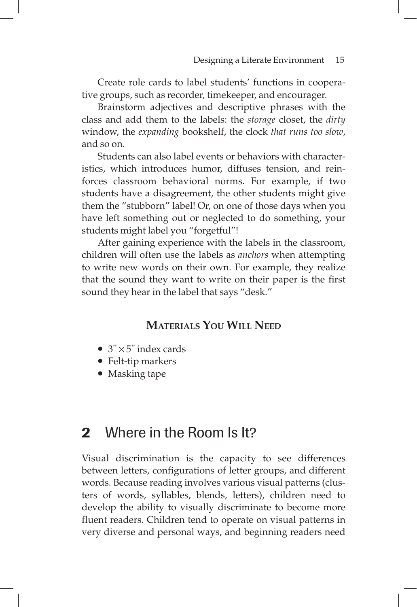Create role cards to label students' functions in cooperative groups, such as recorder, timekeeper, and encourager.

Brainstorm adjectives and descriptive phrases with the class and add them to the labels: the *storage* closet, the *dirty* window, the *expanding* bookshelf, the clock *that runs too slow*, and so on.

Students can also label events or behaviors with characteristics, which introduces humor, diffuses tension, and reinforces classroom behavioral norms. For example, if two students have a disagreement, the other students might give them the "stubborn" label! Or, on one of those days when you have left something out or neglected to do something, your students might label you "forgetful"!

After gaining experience with the labels in the classroom, children will often use the labels as *anchors* when attempting to write new words on their own. For example, they realize that the sound they want to write on their paper is the first sound they hear in the label that says "desk."

## **Materials You Will Need**

- $3" \times 5"$  index cards
- Felt-tip markers
- Masking tape

## 2 Where in the Room Is It?

Visual discrimination is the capacity to see differences between letters, configurations of letter groups, and different words. Because reading involves various visual patterns (clusters of words, syllables, blends, letters), children need to develop the ability to visually discriminate to become more fluent readers. Children tend to operate on visual patterns in very diverse and personal ways, and beginning readers need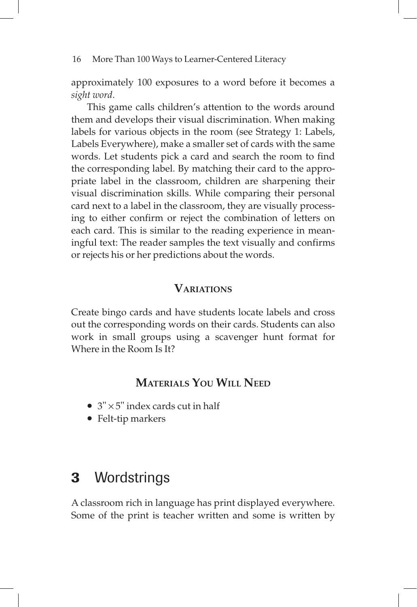approximately 100 exposures to a word before it becomes a *sight word*.

This game calls children's attention to the words around them and develops their visual discrimination. When making labels for various objects in the room (see Strategy 1: Labels, Labels Everywhere), make a smaller set of cards with the same words. Let students pick a card and search the room to find the corresponding label. By matching their card to the appropriate label in the classroom, children are sharpening their visual discrimination skills. While comparing their personal card next to a label in the classroom, they are visually processing to either confirm or reject the combination of letters on each card. This is similar to the reading experience in meaningful text: The reader samples the text visually and confirms or rejects his or her predictions about the words.

## **Variations**

Create bingo cards and have students locate labels and cross out the corresponding words on their cards. Students can also work in small groups using a scavenger hunt format for Where in the Room Is It?

## **Materials You Will Need**

- $3'' \times 5''$  index cards cut in half
- Felt-tip markers

## 3 Wordstrings

A classroom rich in language has print displayed everywhere. Some of the print is teacher written and some is written by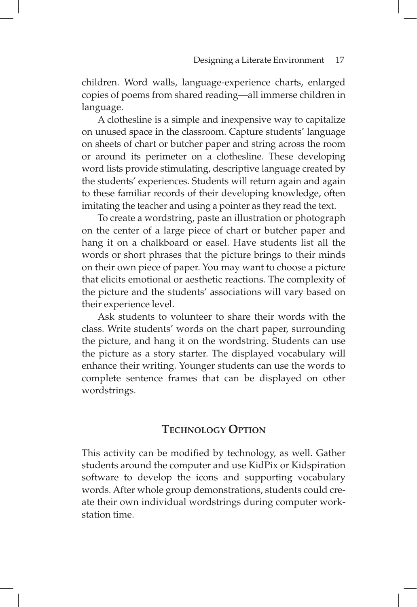children. Word walls, language-experience charts, enlarged copies of poems from shared reading—all immerse children in language.

A clothesline is a simple and inexpensive way to capitalize on unused space in the classroom. Capture students' language on sheets of chart or butcher paper and string across the room or around its perimeter on a clothesline. These developing word lists provide stimulating, descriptive language created by the students' experiences. Students will return again and again to these familiar records of their developing knowledge, often imitating the teacher and using a pointer as they read the text.

To create a wordstring, paste an illustration or photograph on the center of a large piece of chart or butcher paper and hang it on a chalkboard or easel. Have students list all the words or short phrases that the picture brings to their minds on their own piece of paper. You may want to choose a picture that elicits emotional or aesthetic reactions. The complexity of the picture and the students' associations will vary based on their experience level.

Ask students to volunteer to share their words with the class. Write students' words on the chart paper, surrounding the picture, and hang it on the wordstring. Students can use the picture as a story starter. The displayed vocabulary will enhance their writing. Younger students can use the words to complete sentence frames that can be displayed on other wordstrings.

#### **Technology Option**

This activity can be modified by technology, as well. Gather students around the computer and use KidPix or Kidspiration software to develop the icons and supporting vocabulary words. After whole group demonstrations, students could create their own individual wordstrings during computer workstation time.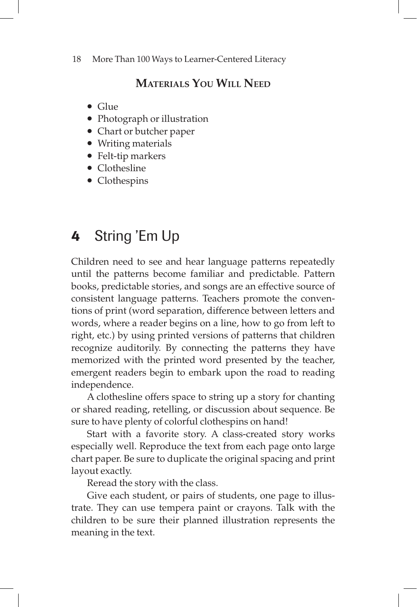#### **Materials You Will Need**

- Glue
- Photograph or illustration
- Chart or butcher paper
- Writing materials
- Felt-tip markers
- Clothesline
- Clothespins

## 4 String 'Em Up

Children need to see and hear language patterns repeatedly until the patterns become familiar and predictable. Pattern books, predictable stories, and songs are an effective source of consistent language patterns. Teachers promote the conventions of print (word separation, difference between letters and words, where a reader begins on a line, how to go from left to right, etc.) by using printed versions of patterns that children recognize auditorily. By connecting the patterns they have memorized with the printed word presented by the teacher, emergent readers begin to embark upon the road to reading independence.

A clothesline offers space to string up a story for chanting or shared reading, retelling, or discussion about sequence. Be sure to have plenty of colorful clothespins on hand!

Start with a favorite story. A class-created story works especially well. Reproduce the text from each page onto large chart paper. Be sure to duplicate the original spacing and print layout exactly.

Reread the story with the class.

Give each student, or pairs of students, one page to illustrate. They can use tempera paint or crayons. Talk with the children to be sure their planned illustration represents the meaning in the text.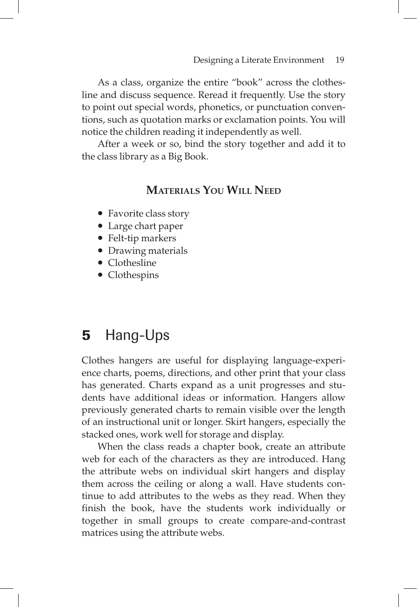As a class, organize the entire "book" across the clothesline and discuss sequence. Reread it frequently. Use the story to point out special words, phonetics, or punctuation conventions, such as quotation marks or exclamation points. You will notice the children reading it independently as well.

After a week or so, bind the story together and add it to the class library as a Big Book.

## **Materials You Will Need**

- Favorite class story
- Large chart paper
- Felt-tip markers
- Drawing materials
- Clothesline
- Clothespins

## **5** Hang-Ups

Clothes hangers are useful for displaying language-experience charts, poems, directions, and other print that your class has generated. Charts expand as a unit progresses and students have additional ideas or information. Hangers allow previously generated charts to remain visible over the length of an instructional unit or longer. Skirt hangers, especially the stacked ones, work well for storage and display.

When the class reads a chapter book, create an attribute web for each of the characters as they are introduced. Hang the attribute webs on individual skirt hangers and display them across the ceiling or along a wall. Have students continue to add attributes to the webs as they read. When they finish the book, have the students work individually or together in small groups to create compare-and-contrast matrices using the attribute webs.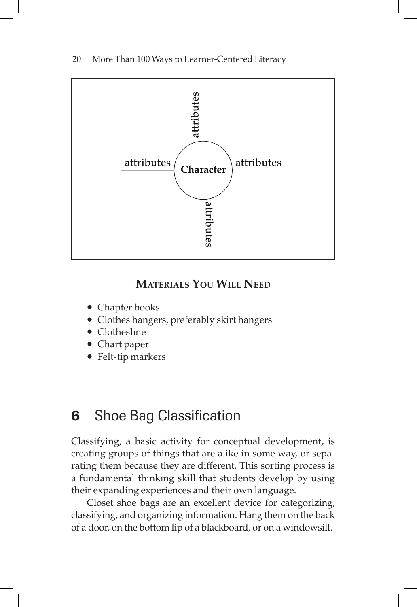

## **Materials You Will Need**

- Chapter books
- Clothes hangers, preferably skirt hangers
- Clothesline
- Chart paper
- Felt-tip markers

## **6** Shoe Bag Classification

Classifying, a basic activity for conceptual development**,** is creating groups of things that are alike in some way, or separating them because they are different. This sorting process is a fundamental thinking skill that students develop by using their expanding experiences and their own language.

Closet shoe bags are an excellent device for categorizing, classifying, and organizing information. Hang them on the back of a door, on the bottom lip of a blackboard, or on a windowsill.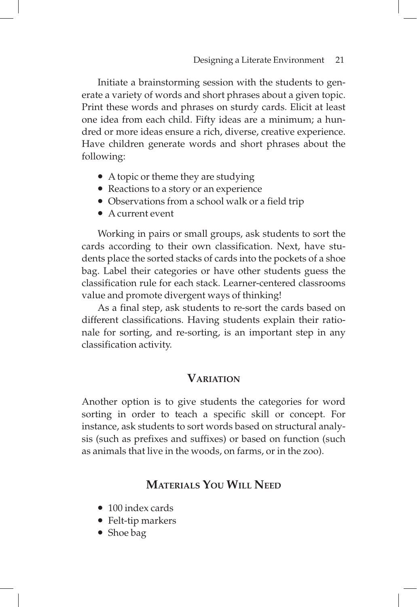Initiate a brainstorming session with the students to generate a variety of words and short phrases about a given topic. Print these words and phrases on sturdy cards. Elicit at least one idea from each child. Fifty ideas are a minimum; a hundred or more ideas ensure a rich, diverse, creative experience. Have children generate words and short phrases about the following:

- A topic or theme they are studying
- Reactions to a story or an experience
- Observations from a school walk or a field trip
- A current event

Working in pairs or small groups, ask students to sort the cards according to their own classification. Next, have students place the sorted stacks of cards into the pockets of a shoe bag. Label their categories or have other students guess the classification rule for each stack. Learner-centered classrooms value and promote divergent ways of thinking!

As a final step, ask students to re-sort the cards based on different classifications. Having students explain their rationale for sorting, and re-sorting, is an important step in any classification activity.

#### **Variation**

Another option is to give students the categories for word sorting in order to teach a specific skill or concept. For instance, ask students to sort words based on structural analysis (such as prefixes and suffixes) or based on function (such as animals that live in the woods, on farms, or in the zoo).

## **Materials You Will Need**

- 100 index cards
- Felt-tip markers
- Shoe bag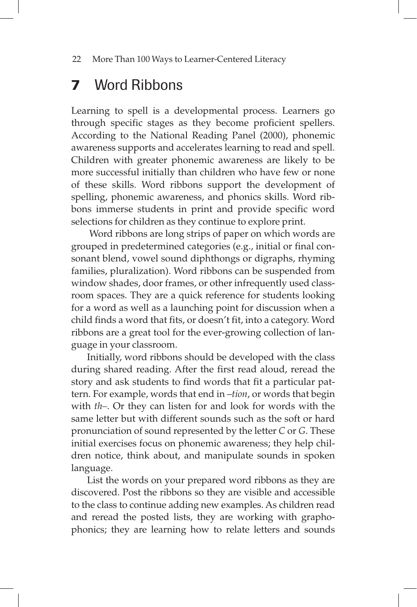## **7** Word Ribbons

Learning to spell is a developmental process. Learners go through specific stages as they become proficient spellers. According to the National Reading Panel (2000), phonemic awareness supports and accelerates learning to read and spell. Children with greater phonemic awareness are likely to be more successful initially than children who have few or none of these skills. Word ribbons support the development of spelling, phonemic awareness, and phonics skills. Word ribbons immerse students in print and provide specific word selections for children as they continue to explore print.

 Word ribbons are long strips of paper on which words are grouped in predetermined categories (e.g., initial or final consonant blend, vowel sound diphthongs or digraphs, rhyming families, pluralization). Word ribbons can be suspended from window shades, door frames, or other infrequently used classroom spaces. They are a quick reference for students looking for a word as well as a launching point for discussion when a child finds a word that fits, or doesn't fit, into a category. Word ribbons are a great tool for the ever-growing collection of language in your classroom.

Initially, word ribbons should be developed with the class during shared reading. After the first read aloud, reread the story and ask students to find words that fit a particular pattern. For example, words that end in –*tion*, or words that begin with *th–*. Or they can listen for and look for words with the same letter but with different sounds such as the soft or hard pronunciation of sound represented by the letter *C* or *G*. These initial exercises focus on phonemic awareness; they help children notice, think about, and manipulate sounds in spoken language.

List the words on your prepared word ribbons as they are discovered. Post the ribbons so they are visible and accessible to the class to continue adding new examples. As children read and reread the posted lists, they are working with graphophonics; they are learning how to relate letters and sounds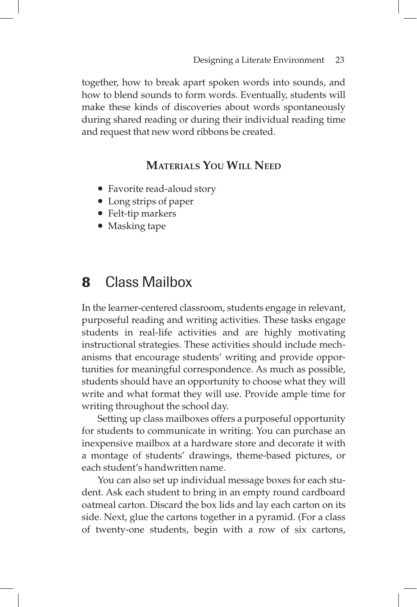together, how to break apart spoken words into sounds, and how to blend sounds to form words. Eventually, students will make these kinds of discoveries about words spontaneously during shared reading or during their individual reading time and request that new word ribbons be created.

## **Materials You Will Need**

- Favorite read-aloud story
- Long strips of paper
- Felt-tip markers
- Masking tape

## 8 Class Mailbox

In the learner-centered classroom, students engage in relevant, purposeful reading and writing activities. These tasks engage students in real-life activities and are highly motivating instructional strategies. These activities should include mechanisms that encourage students' writing and provide opportunities for meaningful correspondence. As much as possible, students should have an opportunity to choose what they will write and what format they will use. Provide ample time for writing throughout the school day.

Setting up class mailboxes offers a purposeful opportunity for students to communicate in writing. You can purchase an inexpensive mailbox at a hardware store and decorate it with a montage of students' drawings, theme-based pictures, or each student's handwritten name.

You can also set up individual message boxes for each student. Ask each student to bring in an empty round cardboard oatmeal carton. Discard the box lids and lay each carton on its side. Next, glue the cartons together in a pyramid. (For a class of twenty-one students, begin with a row of six cartons,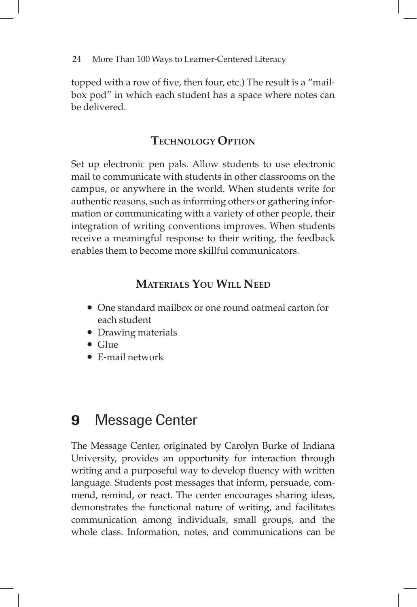topped with a row of five, then four, etc.) The result is a "mailbox pod" in which each student has a space where notes can be delivered.

## **Technology Option**

Set up electronic pen pals. Allow students to use electronic mail to communicate with students in other classrooms on the campus, or anywhere in the world. When students write for authentic reasons, such as informing others or gathering information or communicating with a variety of other people, their integration of writing conventions improves. When students receive a meaningful response to their writing, the feedback enables them to become more skillful communicators.

## **Materials You Will Need**

- One standard mailbox or one round oatmeal carton for each student
- Drawing materials
- Glue
- E-mail network

## **9** Message Center

The Message Center, originated by Carolyn Burke of Indiana University, provides an opportunity for interaction through writing and a purposeful way to develop fluency with written language. Students post messages that inform, persuade, commend, remind, or react. The center encourages sharing ideas, demonstrates the functional nature of writing, and facilitates communication among individuals, small groups, and the whole class. Information, notes, and communications can be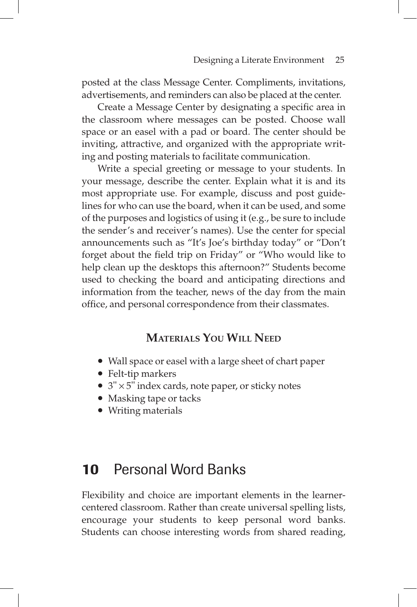posted at the class Message Center. Compliments, invitations, advertisements, and reminders can also be placed at the center.

Create a Message Center by designating a specific area in the classroom where messages can be posted. Choose wall space or an easel with a pad or board. The center should be inviting, attractive, and organized with the appropriate writing and posting materials to facilitate communication.

Write a special greeting or message to your students. In your message, describe the center. Explain what it is and its most appropriate use. For example, discuss and post guidelines for who can use the board, when it can be used, and some of the purposes and logistics of using it (e.g., be sure to include the sender's and receiver's names). Use the center for special announcements such as "It's Joe's birthday today" or "Don't forget about the field trip on Friday" or "Who would like to help clean up the desktops this afternoon?" Students become used to checking the board and anticipating directions and information from the teacher, news of the day from the main office, and personal correspondence from their classmates.

## **Materials You Will Need**

- Wall space or easel with a large sheet of chart paper
- Felt-tip markers
- $3'' \times 5''$  index cards, note paper, or sticky notes
- Masking tape or tacks
- Writing materials

## 10 Personal Word Banks

Flexibility and choice are important elements in the learnercentered classroom. Rather than create universal spelling lists, encourage your students to keep personal word banks. Students can choose interesting words from shared reading,